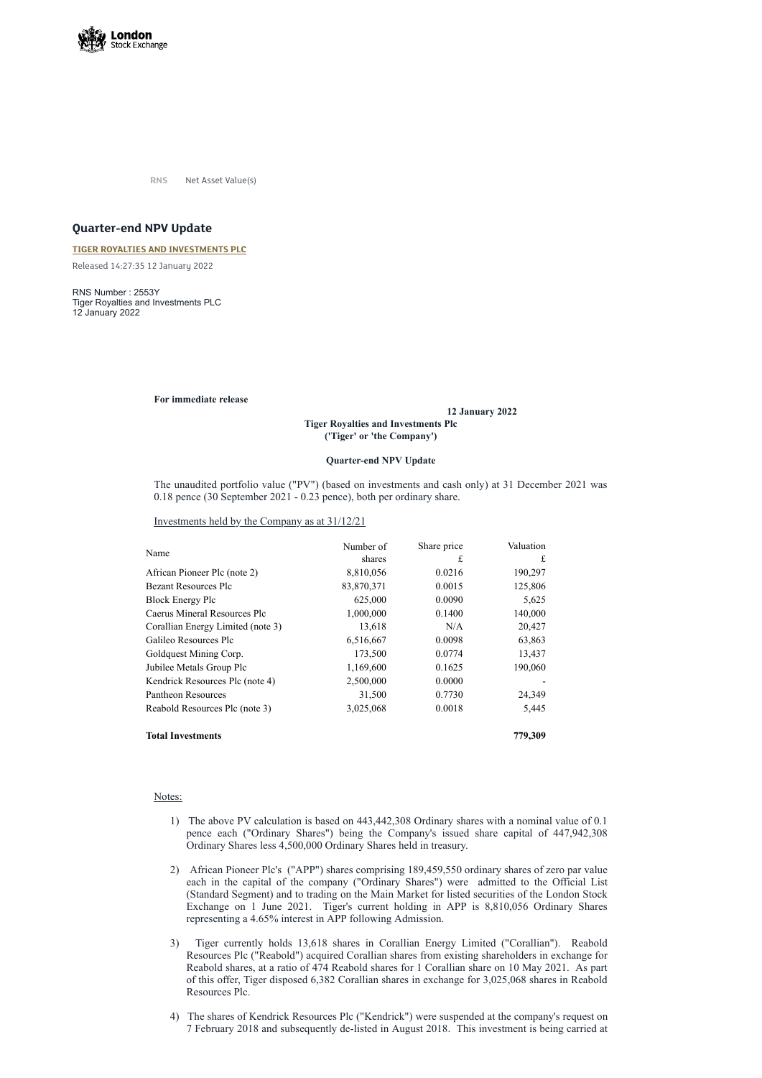

**RNS** Net Asset Value(s)

# **Quarter-end NPV Update**

### **TIGER ROYALTIES AND [INVESTMENTS](https://www.londonstockexchange.com/stock/TIR/tiger-royalties-and-investments-plc) PLC**

Released 14:27:35 12 January 2022

RNS Number : 2553Y Tiger Royalties and Investments PLC 12 January 2022

### **For immediate release**

#### **12 January 2022**

## **Tiger Royalties and Investments Plc ('Tiger' or 'the Company')**

### **Quarter-end NPV Update**

The unaudited portfolio value ("PV") (based on investments and cash only) at 31 December 2021 was 0.18 pence (30 September 2021 - 0.23 pence), both per ordinary share.

Investments held by the Company as at 31/12/21

| Name                              | Number of  | Share price | Valuation |
|-----------------------------------|------------|-------------|-----------|
|                                   | shares     | £           | £         |
| African Pioneer Plc (note 2)      | 8,810,056  | 0.0216      | 190,297   |
| <b>Bezant Resources Plc</b>       | 83,870,371 | 0.0015      | 125,806   |
| <b>Block Energy Plc</b>           | 625,000    | 0.0090      | 5,625     |
| Caerus Mineral Resources Plc      | 1,000,000  | 0.1400      | 140,000   |
| Corallian Energy Limited (note 3) | 13,618     | N/A         | 20,427    |
| Galileo Resources Plc             | 6,516,667  | 0.0098      | 63,863    |
| Goldquest Mining Corp.            | 173,500    | 0.0774      | 13,437    |
| Jubilee Metals Group Plc          | 1,169,600  | 0.1625      | 190,060   |
| Kendrick Resources Plc (note 4)   | 2,500,000  | 0.0000      |           |
| Pantheon Resources                | 31,500     | 0.7730      | 24,349    |
| Reabold Resources Plc (note 3)    | 3,025,068  | 0.0018      | 5,445     |
| <b>Total Investments</b>          |            |             | 779,309   |

- 1) The above PV calculation is based on 443,442,308 Ordinary shares with a nominal value of 0.1 pence each ("Ordinary Shares") being the Company's issued share capital of 447,942,308 Ordinary Shares less 4,500,000 Ordinary Shares held in treasury.
- 2) African Pioneer Plc's ("APP") shares comprising 189,459,550 ordinary shares of zero par value each in the capital of the company ("Ordinary Shares") were admitted to the Official List (Standard Segment) and to trading on the Main Market for listed securities of the London Stock Exchange on 1 June 2021. Tiger's current holding in APP is 8,810,056 Ordinary Shares representing a 4.65% interest in APP following Admission.
- 3) Tiger currently holds 13,618 shares in Corallian Energy Limited ("Corallian"). Reabold Resources Plc ("Reabold") acquired Corallian shares from existing shareholders in exchange for Reabold shares, at a ratio of 474 Reabold shares for 1 Corallian share on 10 May 2021. As part of this offer, Tiger disposed 6,382 Corallian shares in exchange for 3,025,068 shares in Reabold Resources Plc.
- 4) The shares of Kendrick Resources Plc ("Kendrick") were suspended at the company's request on 7 February 2018 and subsequently de-listed in August 2018. This investment is being carried at